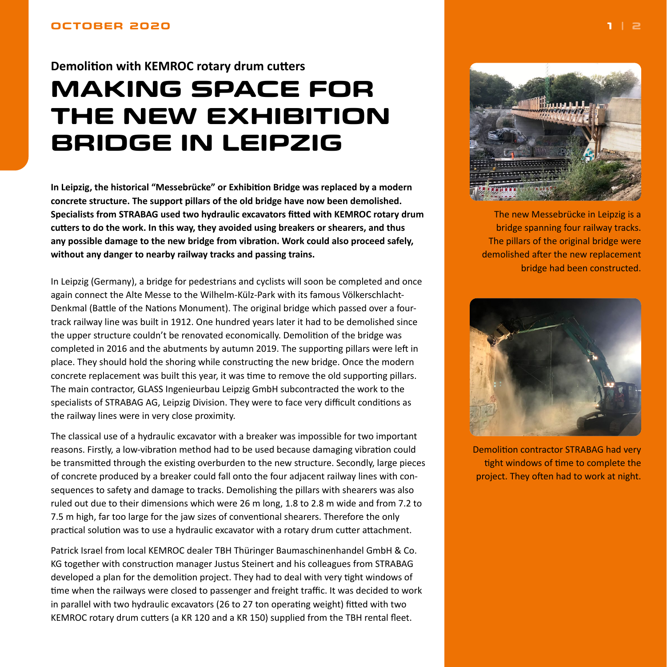## <span id="page-0-0"></span>**Demolition with KEMROC rotary drum cutters**

# **MAKING SPACE FOR THE NEW EXHIBITION BRIDGE IN LEIPZIG**

**In Leipzig, the historical "Messebrücke" or Exhibition Bridge was replaced by a modern concrete structure. The support pillars of the old bridge have now been demolished. Specialists from STRABAG used two hydraulic excavators fitted with KEMROC rotary drum cutters to do the work. In this way, they avoided using breakers or shearers, and thus any possible damage to the new bridge from vibration. Work could also proceed safely, without any danger to nearby railway tracks and passing trains.**

In Leipzig (Germany), a bridge for pedestrians and cyclists will soon be completed and once again connect the Alte Messe to the Wilhelm-Külz-Park with its famous Völkerschlacht-Denkmal (Battle of the Nations Monument). The original bridge which passed over a fourtrack railway line was built in 1912. One hundred years later it had to be demolished since the upper structure couldn't be renovated economically. Demolition of the bridge was completed in 2016 and the abutments by autumn 2019. The supporting pillars were left in place. They should hold the shoring while constructing the new bridge. Once the modern concrete replacement was built this year, it was time to remove the old supporting pillars. The main contractor, GLASS Ingenieurbau Leipzig GmbH subcontracted the work to the specialists of STRABAG AG, Leipzig Division. They were to face very difficult conditions as the railway lines were in very close proximity.

The classical use of a hydraulic excavator with a breaker was impossible for two important reasons. Firstly, a low-vibration method had to be used because damaging vibration could be transmitted through the existing overburden to the new structure. Secondly, large pieces of concrete produced by a breaker could fall onto the four adjacent railway lines with consequences to safety and damage to tracks. Demolishing the pillars with shearers was also ruled out due to their dimensions which were 26 m long, 1.8 to 2.8 m wide and from 7.2 to 7.5 m high, far too large for the jaw sizes of conventional shearers. Therefore the only practical solution was to use a hydraulic excavator with a rotary drum cutter attachment.

Patrick Israel from local KEMROC dealer TBH Thüringer Baumaschinenhandel GmbH & Co. KG together with construction manager Justus Steinert and his colleagues from STRABAG developed a plan for the demolition project. They had to deal with very tight windows of time when the railways were closed to passenger and freight traffic. It was decided to work in parallel with two hydraulic excavators (26 to 27 ton operating weight) fitted with two KEMROC rotary drum cutters (a KR 120 and a KR 150) supplied from the TBH rental fleet.



The new Messebrücke in Leipzig is a bridge spanning four railway tracks. The pillars of the original bridge were demolished after the new replacement bridge had been constructed.



Demolition contractor STRABAG had very tight windows of time to complete the project. They often had to work at night.